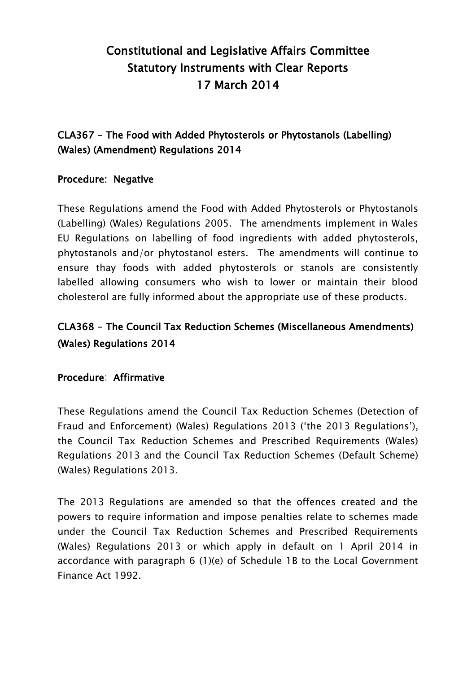# Constitutional and Legislative Affairs Committee Statutory Instruments with Clear Reports 17 March 2014

## CLA367 - The Food with Added Phytosterols or Phytostanols (Labelling) (Wales) (Amendment) Regulations 2014

### Procedure: Negative

These Regulations amend the Food with Added Phytosterols or Phytostanols (Labelling) (Wales) Regulations 2005. The amendments implement in Wales EU Regulations on labelling of food ingredients with added phytosterols, phytostanols and/or phytostanol esters. The amendments will continue to ensure thay foods with added phytosterols or stanols are consistently labelled allowing consumers who wish to lower or maintain their blood cholesterol are fully informed about the appropriate use of these products.

## CLA368 - The Council Tax Reduction Schemes (Miscellaneous Amendments) (Wales) Regulations 2014

### Procedure: Affirmative

These Regulations amend the Council Tax Reduction Schemes (Detection of Fraud and Enforcement) (Wales) Regulations 2013 ("the 2013 Regulations"), the Council Tax Reduction Schemes and Prescribed Requirements (Wales) Regulations 2013 and the Council Tax Reduction Schemes (Default Scheme) (Wales) Regulations 2013.

The 2013 Regulations are amended so that the offences created and the powers to require information and impose penalties relate to schemes made under the Council Tax Reduction Schemes and Prescribed Requirements (Wales) Regulations 2013 or which apply in default on 1 April 2014 in accordance with paragraph 6 (1)(e) of Schedule 1B to the Local Government Finance Act 1992.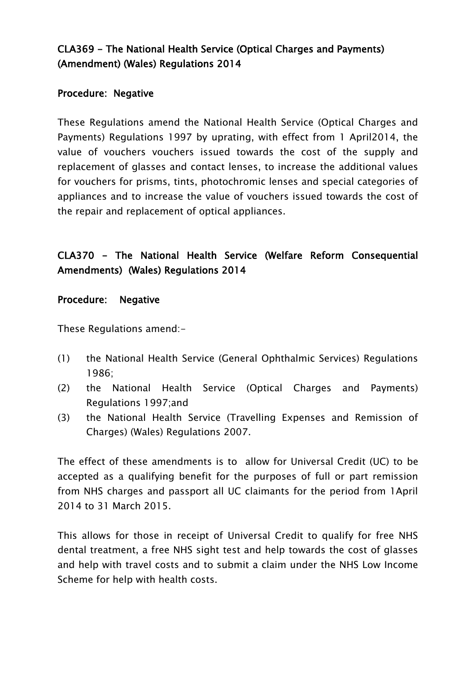### CLA369 - The National Health Service (Optical Charges and Payments) (Amendment) (Wales) Regulations 2014

### Procedure: Negative

These Regulations amend the National Health Service (Optical Charges and Payments) Regulations 1997 by uprating, with effect from 1 April2014, the value of vouchers vouchers issued towards the cost of the supply and replacement of glasses and contact lenses, to increase the additional values for vouchers for prisms, tints, photochromic lenses and special categories of appliances and to increase the value of vouchers issued towards the cost of the repair and replacement of optical appliances.

## CLA370 - The National Health Service (Welfare Reform Consequential Amendments) (Wales) Regulations 2014

#### Procedure: Negative

These Regulations amend:-

- (1) the National Health Service (General Ophthalmic Services) Regulations 1986;
- (2) the National Health Service (Optical Charges and Payments) Regulations 1997;and
- (3) the National Health Service (Travelling Expenses and Remission of Charges) (Wales) Regulations 2007.

The effect of these amendments is to allow for Universal Credit (UC) to be accepted as a qualifying benefit for the purposes of full or part remission from NHS charges and passport all UC claimants for the period from 1April 2014 to 31 March 2015.

This allows for those in receipt of Universal Credit to qualify for free NHS dental treatment, a free NHS sight test and help towards the cost of glasses and help with travel costs and to submit a claim under the NHS Low Income Scheme for help with health costs.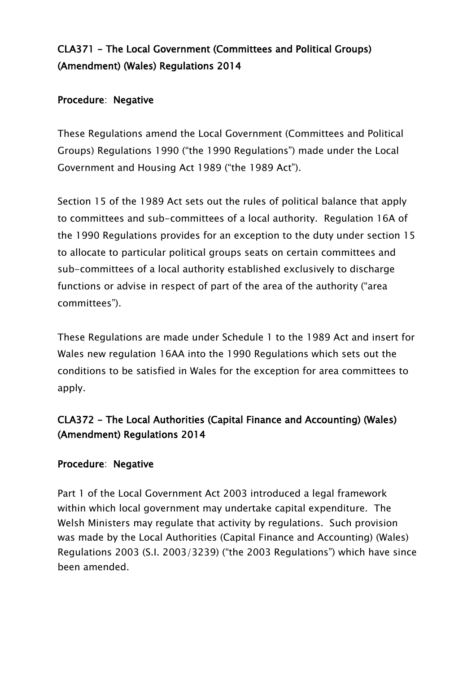## CLA371 - The Local Government (Committees and Political Groups) (Amendment) (Wales) Regulations 2014

### Procedure: Negative

These Regulations amend the Local Government (Committees and Political Groups) Regulations 1990 ("the 1990 Regulations") made under the Local Government and Housing Act 1989 ("the 1989 Act").

Section 15 of the 1989 Act sets out the rules of political balance that apply to committees and sub-committees of a local authority. Regulation 16A of the 1990 Regulations provides for an exception to the duty under section 15 to allocate to particular political groups seats on certain committees and sub-committees of a local authority established exclusively to discharge functions or advise in respect of part of the area of the authority ("area committees").

These Regulations are made under Schedule 1 to the 1989 Act and insert for Wales new regulation 16AA into the 1990 Regulations which sets out the conditions to be satisfied in Wales for the exception for area committees to apply.

## CLA372 - The Local Authorities (Capital Finance and Accounting) (Wales) (Amendment) Regulations 2014

### Procedure: Negative

Part 1 of the Local Government Act 2003 introduced a legal framework within which local government may undertake capital expenditure. The Welsh Ministers may regulate that activity by regulations. Such provision was made by the Local Authorities (Capital Finance and Accounting) (Wales) Regulations 2003 (S.I. 2003/3239) ("the 2003 Regulations") which have since been amended.